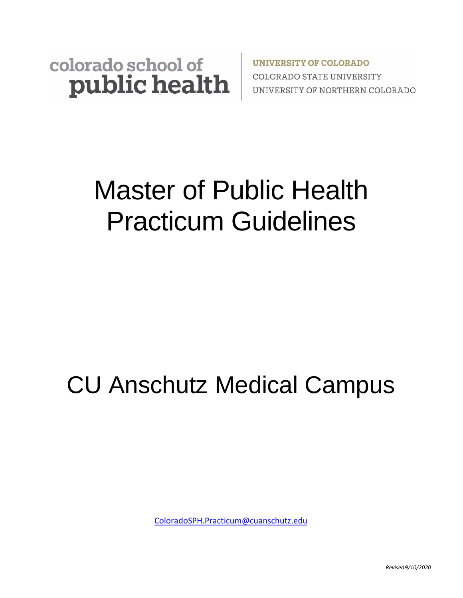### colorado school of public health

**UNIVERSITY OF COLORADO COLORADO STATE UNIVERSITY** UNIVERSITY OF NORTHERN COLORADO

# Master of Public Health Practicum Guidelines

## CU Anschutz Medical Campus

[ColoradoSPH.Practicum@cuanschutz.edu](mailto:ColoradoSPH.Practicum@cuanschutz.edu)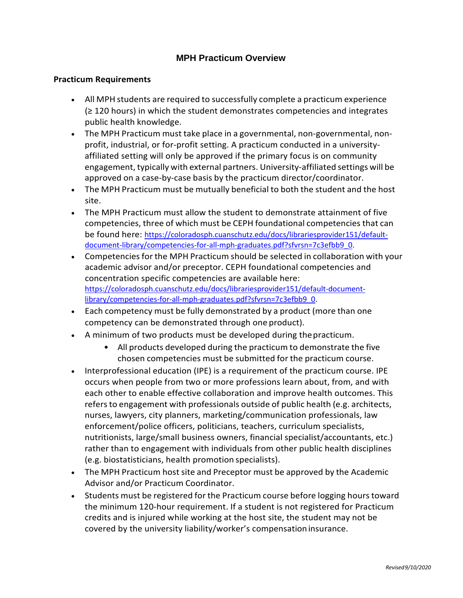#### **MPH Practicum Overview**

#### **Practicum Requirements**

- All MPH students are required to successfully complete a practicum experience (≥ 120 hours) in which the student demonstrates competencies and integrates public health knowledge.
- The MPH Practicum must take place in a governmental, non-governmental, nonprofit, industrial, or for-profit setting. A practicum conducted in a universityaffiliated setting will only be approved if the primary focus is on community engagement, typically with external partners. University-affiliated settings will be approved on a case-by-case basis by the practicum director/coordinator.
- The MPH Practicum must be mutually beneficial to both the student and the host site.
- The MPH Practicum must allow the student to demonstrate attainment of five competencies, three of which must be CEPH foundational competencies that can be found here: [https://coloradosph.cuanschutz.edu/docs/librariesprovider151/default](https://coloradosph.cuanschutz.edu/docs/librariesprovider151/default-document-library/competencies-for-all-mph-graduates.pdf?sfvrsn=7c3efbb9_0)[document-library/competencies-for-all-mph-](https://coloradosph.cuanschutz.edu/docs/librariesprovider151/default-document-library/competencies-for-all-mph-graduates.pdf?sfvrsn=7c3efbb9_0)graduates.pdf?sfvrsn=7c3efbb9\_0.
- Competencies for the MPH Practicum should be selected in collaboration with your academic advisor and/or preceptor. CEPH foundational competencies and concentration specific competencies are available here: [https://coloradosph.cuanschutz.edu/docs/librariesprovider151/default](https://coloradosph.cuanschutz.edu/docs/librariesprovider151/default-document-library/competencies-for-all-mph-graduates.pdf?sfvrsn=7c3efbb9_0)-document[library/competencies-for-all-mph-](https://coloradosph.cuanschutz.edu/docs/librariesprovider151/default-document-library/competencies-for-all-mph-graduates.pdf?sfvrsn=7c3efbb9_0)graduates.pdf?sfvrsn=7c3efbb9\_0.
- Each competency must be fully demonstrated by a product (more than one competency can be demonstrated through one product).
- A minimum of two products must be developed during thepracticum.
	- All products developed during the practicum to demonstrate the five chosen competencies must be submitted for the practicum course.
- Interprofessional education (IPE) is a requirement of the practicum course. IPE occurs when people from two or more professions learn about, from, and with each other to enable effective collaboration and improve health outcomes. This refers to engagement with professionals outside of public health (e.g. architects, nurses, lawyers, city planners, marketing/communication professionals, law enforcement/police officers, politicians, teachers, curriculum specialists, nutritionists, large/small business owners, financial specialist/accountants, etc.) rather than to engagement with individuals from other public health disciplines (e.g. biostatisticians, health promotion specialists).
- The MPH Practicum host site and Preceptor must be approved by the Academic Advisor and/or Practicum Coordinator.
- Students must be registered for the Practicum course before logging hours toward the minimum 120-hour requirement. If a student is not registered for Practicum credits and is injured while working at the host site, the student may not be covered by the university liability/worker's compensationinsurance.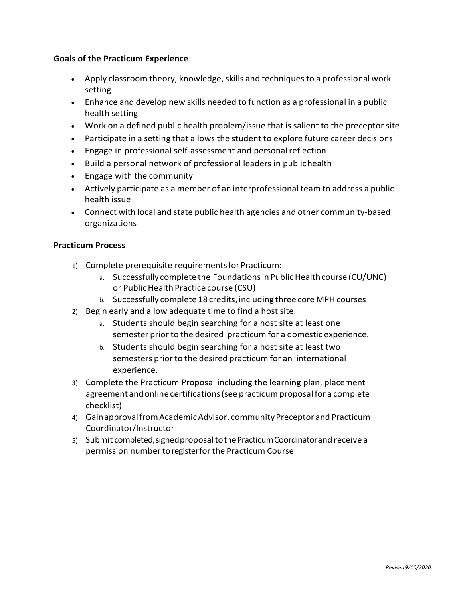#### **Goals of the Practicum Experience**

- Apply classroom theory, knowledge, skills and techniques to a professional work setting
- Enhance and develop new skills needed to function as a professional in a public health setting
- Work on a defined public health problem/issue that is salient to the preceptor site
- Participate in a setting that allows the student to explore future career decisions
- Engage in professional self-assessment and personal reflection
- Build a personal network of professional leaders in publichealth
- Engage with the community
- Actively participate as a member of an interprofessional team to address a public health issue
- Connect with local and state public health agencies and other community-based organizations

#### **Practicum Process**

- 1) Complete prerequisite requirementsforPracticum:
	- a. Successfully complete the Foundations in Public Health course (CU/UNC) or PublicHealth Practice course (CSU)
	- b. Successfully complete 18 credits, including three core MPH courses
- 2) Begin early and allow adequate time to find a host site.
	- a. Students should begin searching for a host site at least one semester prior to the desired practicum for a domestic experience.
	- b. Students should begin searching for a host site at least two semesters prior to the desired practicum for an international experience.
- 3) Complete the Practicum Proposal including the learning plan, placement agreement andonline certifications(see practicum proposal for a complete checklist)
- 4) GainapprovalfromAcademicAdvisor, communityPreceptor and Practicum Coordinator/Instructor
- 5) Submit completed, signed proposal to the Practicum Coordinator and receive a permission number to registerfor the Practicum Course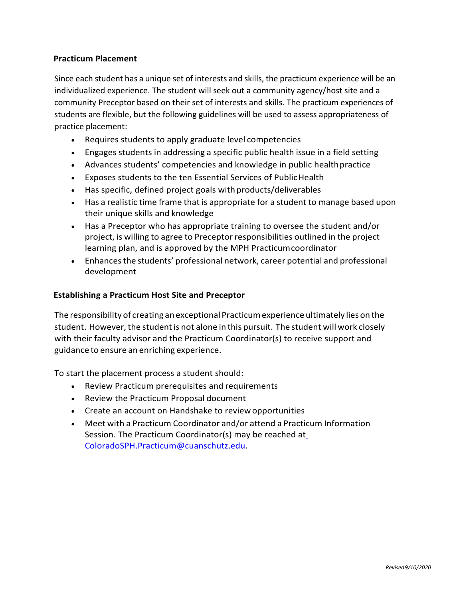#### **Practicum Placement**

Since each student has a unique set of interests and skills, the practicum experience will be an individualized experience. The student will seek out a community agency/host site and a community Preceptor based on their set of interests and skills. The practicum experiences of students are flexible, but the following guidelines will be used to assess appropriateness of practice placement:

- Requires students to apply graduate level competencies
- Engages students in addressing a specific public health issue in a field setting
- Advances students' competencies and knowledge in public healthpractice
- Exposes students to the ten Essential Services of PublicHealth
- Has specific, defined project goals with products/deliverables
- Has a realistic time frame that is appropriate for a student to manage based upon their unique skills and knowledge
- Has a Preceptor who has appropriate training to oversee the student and/or project, is willing to agree to Preceptor responsibilities outlined in the project learning plan, and is approved by the MPH Practicumcoordinator
- Enhancesthe students' professional network, career potential and professional development

#### **Establishing a Practicum Host Site and Preceptor**

The responsibility of creating an exceptional Practicumexperience ultimately lies on the student. However, the studentis not alone in this pursuit. The student will work closely with their faculty advisor and the Practicum Coordinator(s) to receive support and guidance to ensure an enriching experience.

To start the placement process a student should:

- Review Practicum prerequisites and requirements
- Review the Practicum Proposal document
- Create an account on Handshake to reviewopportunities
- Meet with a Practicum Coordinator and/or attend a Practicum Information Session. The Practicum Coordinator(s) may be reached a[t](mailto:ColoradoSPH.Practicum@cuanschutz.edu) [ColoradoSPH.Practicum@cuanschutz.edu.](mailto:ColoradoSPH.Practicum@cuanschutz.edu)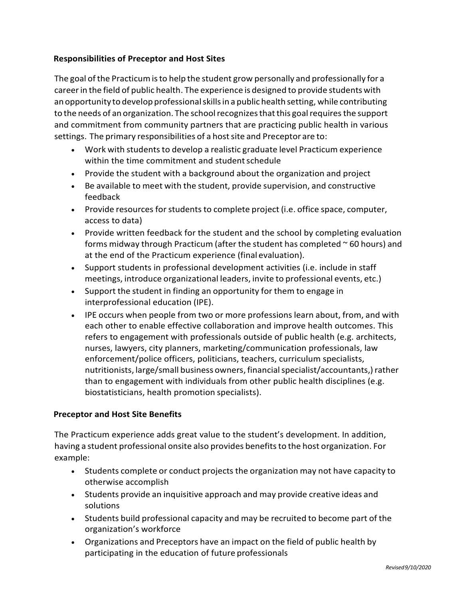#### **Responsibilities of Preceptor and Host Sites**

The goal of the Practicum is to help the student grow personally and professionally for a careerin the field of public health. The experience is designed to provide students with anopportunity to develop professionalskillsin a public health setting, while contributing to the needs of an organization. The school recognizes that this goal requires the support and commitment from community partners that are practicing public health in various settings. The primary responsibilities of a host site and Preceptor are to:

- Work with students to develop a realistic graduate level Practicum experience within the time commitment and student schedule
- Provide the student with a background about the organization and project
- Be available to meet with the student, provide supervision, and constructive feedback
- Provide resources for students to complete project (i.e. office space, computer, access to data)
- Provide written feedback for the student and the school by completing evaluation forms midway through Practicum (after the student has completed  $\sim$  60 hours) and at the end of the Practicum experience (final evaluation).
- Support students in professional development activities (i.e. include in staff meetings, introduce organizational leaders, invite to professional events, etc.)
- Support the student in finding an opportunity for them to engage in interprofessional education (IPE).
- IPE occurs when people from two or more professions learn about, from, and with each other to enable effective collaboration and improve health outcomes. This refers to engagement with professionals outside of public health (e.g. architects, nurses, lawyers, city planners, marketing/communication professionals, law enforcement/police officers, politicians, teachers, curriculum specialists, nutritionists, large/small business owners, financial specialist/accountants,) rather than to engagement with individuals from other public health disciplines (e.g. biostatisticians, health promotion specialists).

#### **Preceptor and Host Site Benefits**

The Practicum experience adds great value to the student's development. In addition, having a student professional onsite also provides benefitsto the host organization. For example:

- Students complete or conduct projects the organization may not have capacity to otherwise accomplish
- Students provide an inquisitive approach and may provide creative ideas and solutions
- Students build professional capacity and may be recruited to become part of the organization's workforce
- Organizations and Preceptors have an impact on the field of public health by participating in the education of future professionals